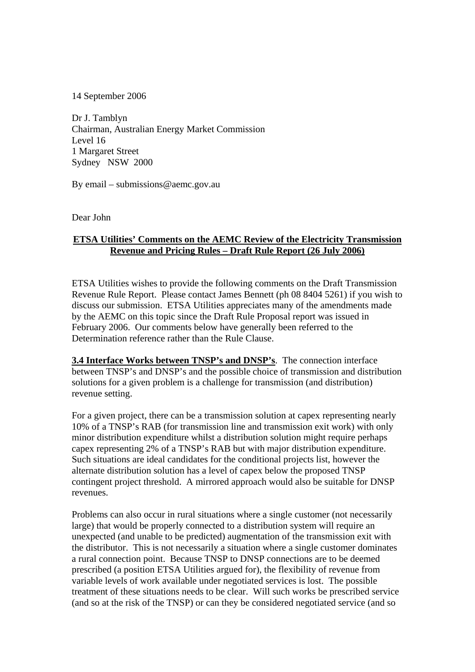14 September 2006

Dr J. Tamblyn Chairman, Australian Energy Market Commission Level 16 1 Margaret Street Sydney NSW 2000

By email – submissions@aemc.gov.au

Dear John

## **ETSA Utilities' Comments on the AEMC Review of the Electricity Transmission Revenue and Pricing Rules – Draft Rule Report (26 July 2006)**

ETSA Utilities wishes to provide the following comments on the Draft Transmission Revenue Rule Report. Please contact James Bennett (ph 08 8404 5261) if you wish to discuss our submission. ETSA Utilities appreciates many of the amendments made by the AEMC on this topic since the Draft Rule Proposal report was issued in February 2006. Our comments below have generally been referred to the Determination reference rather than the Rule Clause.

**3.4 Interface Works between TNSP's and DNSP's**. The connection interface between TNSP's and DNSP's and the possible choice of transmission and distribution solutions for a given problem is a challenge for transmission (and distribution) revenue setting.

For a given project, there can be a transmission solution at capex representing nearly 10% of a TNSP's RAB (for transmission line and transmission exit work) with only minor distribution expenditure whilst a distribution solution might require perhaps capex representing 2% of a TNSP's RAB but with major distribution expenditure. Such situations are ideal candidates for the conditional projects list, however the alternate distribution solution has a level of capex below the proposed TNSP contingent project threshold. A mirrored approach would also be suitable for DNSP revenues.

Problems can also occur in rural situations where a single customer (not necessarily large) that would be properly connected to a distribution system will require an unexpected (and unable to be predicted) augmentation of the transmission exit with the distributor. This is not necessarily a situation where a single customer dominates a rural connection point. Because TNSP to DNSP connections are to be deemed prescribed (a position ETSA Utilities argued for), the flexibility of revenue from variable levels of work available under negotiated services is lost. The possible treatment of these situations needs to be clear. Will such works be prescribed service (and so at the risk of the TNSP) or can they be considered negotiated service (and so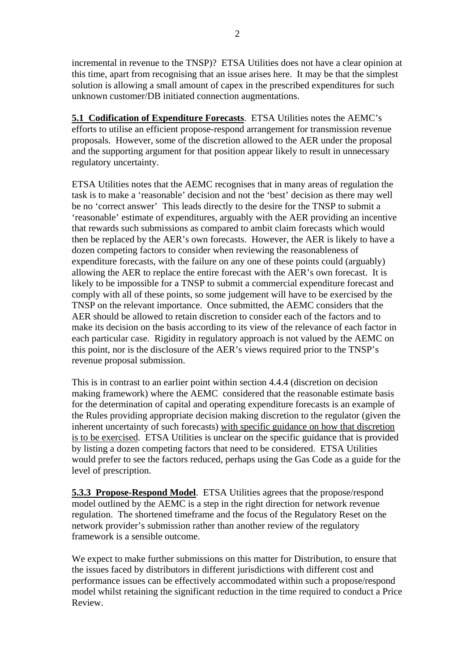incremental in revenue to the TNSP)? ETSA Utilities does not have a clear opinion at this time, apart from recognising that an issue arises here. It may be that the simplest solution is allowing a small amount of capex in the prescribed expenditures for such unknown customer/DB initiated connection augmentations.

**5.1 Codification of Expenditure Forecasts**. ETSA Utilities notes the AEMC's efforts to utilise an efficient propose-respond arrangement for transmission revenue proposals. However, some of the discretion allowed to the AER under the proposal and the supporting argument for that position appear likely to result in unnecessary regulatory uncertainty.

ETSA Utilities notes that the AEMC recognises that in many areas of regulation the task is to make a 'reasonable' decision and not the 'best' decision as there may well be no 'correct answer' This leads directly to the desire for the TNSP to submit a 'reasonable' estimate of expenditures, arguably with the AER providing an incentive that rewards such submissions as compared to ambit claim forecasts which would then be replaced by the AER's own forecasts. However, the AER is likely to have a dozen competing factors to consider when reviewing the reasonableness of expenditure forecasts, with the failure on any one of these points could (arguably) allowing the AER to replace the entire forecast with the AER's own forecast. It is likely to be impossible for a TNSP to submit a commercial expenditure forecast and comply with all of these points, so some judgement will have to be exercised by the TNSP on the relevant importance. Once submitted, the AEMC considers that the AER should be allowed to retain discretion to consider each of the factors and to make its decision on the basis according to its view of the relevance of each factor in each particular case. Rigidity in regulatory approach is not valued by the AEMC on this point, nor is the disclosure of the AER's views required prior to the TNSP's revenue proposal submission.

This is in contrast to an earlier point within section 4.4.4 (discretion on decision making framework) where the AEMC considered that the reasonable estimate basis for the determination of capital and operating expenditure forecasts is an example of the Rules providing appropriate decision making discretion to the regulator (given the inherent uncertainty of such forecasts) with specific guidance on how that discretion is to be exercised. ETSA Utilities is unclear on the specific guidance that is provided by listing a dozen competing factors that need to be considered. ETSA Utilities would prefer to see the factors reduced, perhaps using the Gas Code as a guide for the level of prescription.

**5.3.3 Propose-Respond Model**. ETSA Utilities agrees that the propose/respond model outlined by the AEMC is a step in the right direction for network revenue regulation. The shortened timeframe and the focus of the Regulatory Reset on the network provider's submission rather than another review of the regulatory framework is a sensible outcome.

We expect to make further submissions on this matter for Distribution, to ensure that the issues faced by distributors in different jurisdictions with different cost and performance issues can be effectively accommodated within such a propose/respond model whilst retaining the significant reduction in the time required to conduct a Price Review.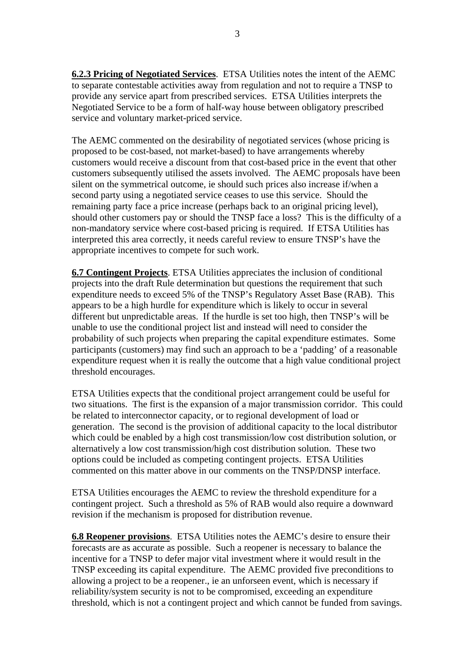**6.2.3 Pricing of Negotiated Services**. ETSA Utilities notes the intent of the AEMC to separate contestable activities away from regulation and not to require a TNSP to provide any service apart from prescribed services. ETSA Utilities interprets the Negotiated Service to be a form of half-way house between obligatory prescribed service and voluntary market-priced service.

The AEMC commented on the desirability of negotiated services (whose pricing is proposed to be cost-based, not market-based) to have arrangements whereby customers would receive a discount from that cost-based price in the event that other customers subsequently utilised the assets involved. The AEMC proposals have been silent on the symmetrical outcome, ie should such prices also increase if/when a second party using a negotiated service ceases to use this service. Should the remaining party face a price increase (perhaps back to an original pricing level), should other customers pay or should the TNSP face a loss? This is the difficulty of a non-mandatory service where cost-based pricing is required. If ETSA Utilities has interpreted this area correctly, it needs careful review to ensure TNSP's have the appropriate incentives to compete for such work.

**6.7 Contingent Projects**. ETSA Utilities appreciates the inclusion of conditional projects into the draft Rule determination but questions the requirement that such expenditure needs to exceed 5% of the TNSP's Regulatory Asset Base (RAB). This appears to be a high hurdle for expenditure which is likely to occur in several different but unpredictable areas. If the hurdle is set too high, then TNSP's will be unable to use the conditional project list and instead will need to consider the probability of such projects when preparing the capital expenditure estimates. Some participants (customers) may find such an approach to be a 'padding' of a reasonable expenditure request when it is really the outcome that a high value conditional project threshold encourages.

ETSA Utilities expects that the conditional project arrangement could be useful for two situations. The first is the expansion of a major transmission corridor. This could be related to interconnector capacity, or to regional development of load or generation. The second is the provision of additional capacity to the local distributor which could be enabled by a high cost transmission/low cost distribution solution, or alternatively a low cost transmission/high cost distribution solution. These two options could be included as competing contingent projects. ETSA Utilities commented on this matter above in our comments on the TNSP/DNSP interface.

ETSA Utilities encourages the AEMC to review the threshold expenditure for a contingent project. Such a threshold as 5% of RAB would also require a downward revision if the mechanism is proposed for distribution revenue.

**6.8 Reopener provisions**. ETSA Utilities notes the AEMC's desire to ensure their forecasts are as accurate as possible. Such a reopener is necessary to balance the incentive for a TNSP to defer major vital investment where it would result in the TNSP exceeding its capital expenditure. The AEMC provided five preconditions to allowing a project to be a reopener., ie an unforseen event, which is necessary if reliability/system security is not to be compromised, exceeding an expenditure threshold, which is not a contingent project and which cannot be funded from savings.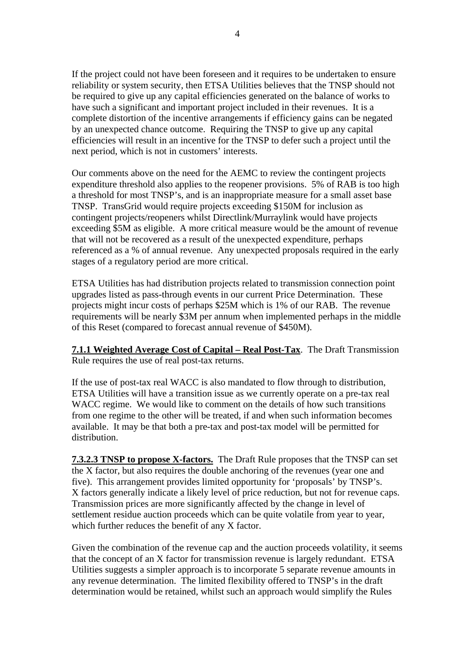If the project could not have been foreseen and it requires to be undertaken to ensure reliability or system security, then ETSA Utilities believes that the TNSP should not be required to give up any capital efficiencies generated on the balance of works to have such a significant and important project included in their revenues. It is a complete distortion of the incentive arrangements if efficiency gains can be negated by an unexpected chance outcome. Requiring the TNSP to give up any capital efficiencies will result in an incentive for the TNSP to defer such a project until the next period, which is not in customers' interests.

Our comments above on the need for the AEMC to review the contingent projects expenditure threshold also applies to the reopener provisions. 5% of RAB is too high a threshold for most TNSP's, and is an inappropriate measure for a small asset base TNSP. TransGrid would require projects exceeding \$150M for inclusion as contingent projects/reopeners whilst Directlink/Murraylink would have projects exceeding \$5M as eligible. A more critical measure would be the amount of revenue that will not be recovered as a result of the unexpected expenditure, perhaps referenced as a % of annual revenue. Any unexpected proposals required in the early stages of a regulatory period are more critical.

ETSA Utilities has had distribution projects related to transmission connection point upgrades listed as pass-through events in our current Price Determination. These projects might incur costs of perhaps \$25M which is 1% of our RAB. The revenue requirements will be nearly \$3M per annum when implemented perhaps in the middle of this Reset (compared to forecast annual revenue of \$450M).

**7.1.1 Weighted Average Cost of Capital – Real Post-Tax**. The Draft Transmission Rule requires the use of real post-tax returns.

If the use of post-tax real WACC is also mandated to flow through to distribution, ETSA Utilities will have a transition issue as we currently operate on a pre-tax real WACC regime. We would like to comment on the details of how such transitions from one regime to the other will be treated, if and when such information becomes available. It may be that both a pre-tax and post-tax model will be permitted for distribution.

**7.3.2.3 TNSP to propose X-factors.** The Draft Rule proposes that the TNSP can set the X factor, but also requires the double anchoring of the revenues (year one and five). This arrangement provides limited opportunity for 'proposals' by TNSP's. X factors generally indicate a likely level of price reduction, but not for revenue caps. Transmission prices are more significantly affected by the change in level of settlement residue auction proceeds which can be quite volatile from year to year, which further reduces the benefit of any X factor.

Given the combination of the revenue cap and the auction proceeds volatility, it seems that the concept of an X factor for transmission revenue is largely redundant. ETSA Utilities suggests a simpler approach is to incorporate 5 separate revenue amounts in any revenue determination. The limited flexibility offered to TNSP's in the draft determination would be retained, whilst such an approach would simplify the Rules